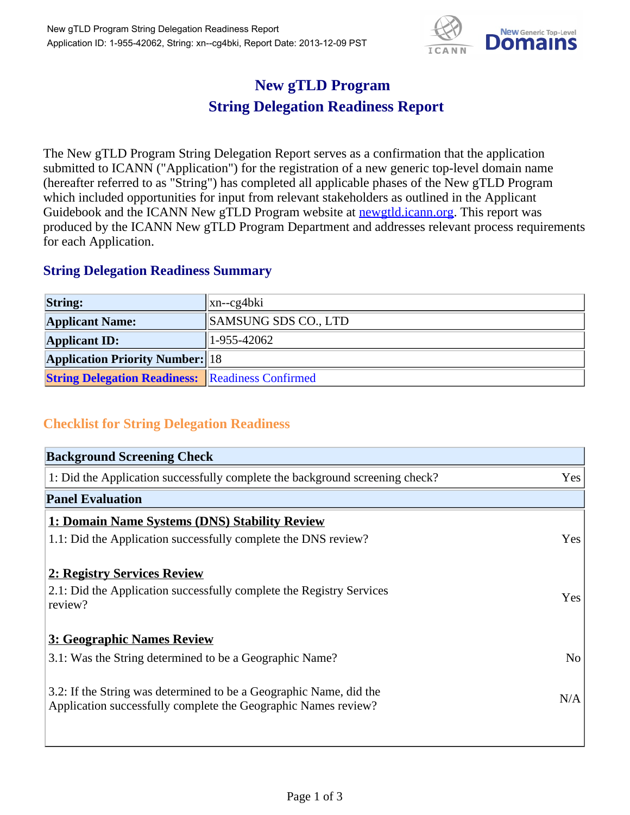

## **New gTLD Program String Delegation Readiness Report**

The New gTLD Program String Delegation Report serves as a confirmation that the application submitted to ICANN ("Application") for the registration of a new generic top-level domain name (hereafter referred to as "String") has completed all applicable phases of the New gTLD Program which included opportunities for input from relevant stakeholders as outlined in the Applicant Guidebook and the ICANN New gTLD Program website at **newgtld.jcann.org**. This report was produced by the ICANN New gTLD Program Department and addresses relevant process requirements for each Application.

## **String Delegation Readiness Summary**

| <b>String:</b>                                          | $\vert$ xn--cg4bki   |
|---------------------------------------------------------|----------------------|
| <b>Applicant Name:</b>                                  | SAMSUNG SDS CO., LTD |
| <b>Applicant ID:</b>                                    | $1-955-42062$        |
| <b>Application Priority Number:</b> 18                  |                      |
| <b>String Delegation Readiness: Readiness Confirmed</b> |                      |

## **Checklist for String Delegation Readiness**

| <b>Background Screening Check</b>                                                                                                    |                |
|--------------------------------------------------------------------------------------------------------------------------------------|----------------|
| 1: Did the Application successfully complete the background screening check?                                                         | Yes            |
| <b>Panel Evaluation</b>                                                                                                              |                |
| 1: Domain Name Systems (DNS) Stability Review                                                                                        |                |
| 1.1: Did the Application successfully complete the DNS review?                                                                       | Yes            |
| 2: Registry Services Review                                                                                                          |                |
| 2.1: Did the Application successfully complete the Registry Services<br>review?                                                      | Yes            |
| 3: Geographic Names Review                                                                                                           |                |
| 3.1: Was the String determined to be a Geographic Name?                                                                              | N <sub>o</sub> |
| 3.2: If the String was determined to be a Geographic Name, did the<br>Application successfully complete the Geographic Names review? | N/A            |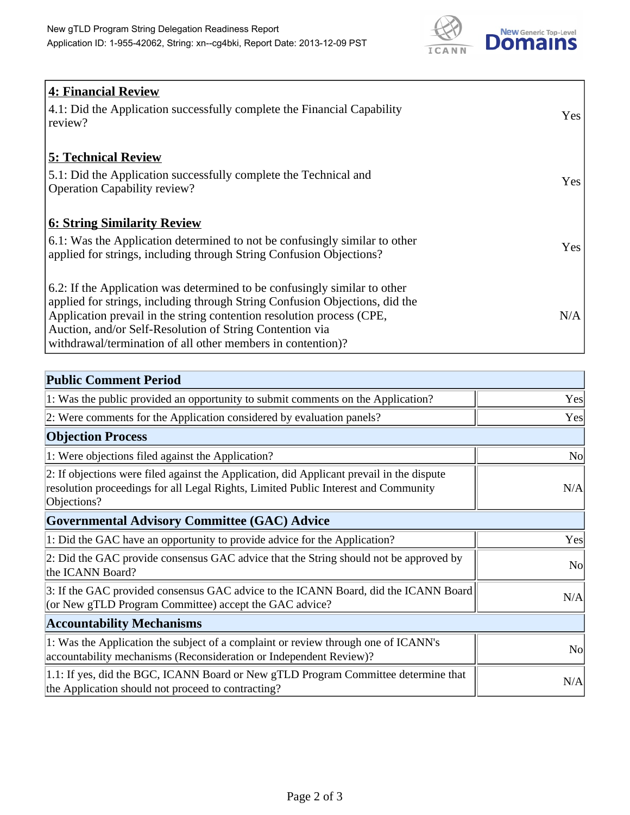

| <b>4: Financial Review</b><br>4.1: Did the Application successfully complete the Financial Capability<br>review?                                                                                                                                                                                                                                             | Yes |
|--------------------------------------------------------------------------------------------------------------------------------------------------------------------------------------------------------------------------------------------------------------------------------------------------------------------------------------------------------------|-----|
| <b>5: Technical Review</b><br>5.1: Did the Application successfully complete the Technical and<br><b>Operation Capability review?</b>                                                                                                                                                                                                                        | Yes |
| <b>6: String Similarity Review</b><br>6.1: Was the Application determined to not be confusingly similar to other<br>applied for strings, including through String Confusion Objections?                                                                                                                                                                      | Yes |
| 6.2: If the Application was determined to be confusingly similar to other<br>applied for strings, including through String Confusion Objections, did the<br>Application prevail in the string contention resolution process (CPE,<br>Auction, and/or Self-Resolution of String Contention via<br>withdrawal/termination of all other members in contention)? | N/A |

| <b>Public Comment Period</b>                                                                                                                                                                   |                |
|------------------------------------------------------------------------------------------------------------------------------------------------------------------------------------------------|----------------|
| 1: Was the public provided an opportunity to submit comments on the Application?                                                                                                               | Yes            |
| 2: Were comments for the Application considered by evaluation panels?                                                                                                                          | Yes            |
| <b>Objection Process</b>                                                                                                                                                                       |                |
| 1: Were objections filed against the Application?                                                                                                                                              | N <sub>o</sub> |
| 2: If objections were filed against the Application, did Applicant prevail in the dispute<br>resolution proceedings for all Legal Rights, Limited Public Interest and Community<br>Objections? | N/A            |
| <b>Governmental Advisory Committee (GAC) Advice</b>                                                                                                                                            |                |
| 1: Did the GAC have an opportunity to provide advice for the Application?                                                                                                                      | Yes            |
| 2: Did the GAC provide consensus GAC advice that the String should not be approved by<br>the ICANN Board?                                                                                      | N <sub>o</sub> |
| 3: If the GAC provided consensus GAC advice to the ICANN Board, did the ICANN Board<br>(or New gTLD Program Committee) accept the GAC advice?                                                  | N/A            |
| <b>Accountability Mechanisms</b>                                                                                                                                                               |                |
| 1: Was the Application the subject of a complaint or review through one of ICANN's<br>accountability mechanisms (Reconsideration or Independent Review)?                                       | <b>No</b>      |
| 1.1: If yes, did the BGC, ICANN Board or New gTLD Program Committee determine that<br>the Application should not proceed to contracting?                                                       | N/A            |